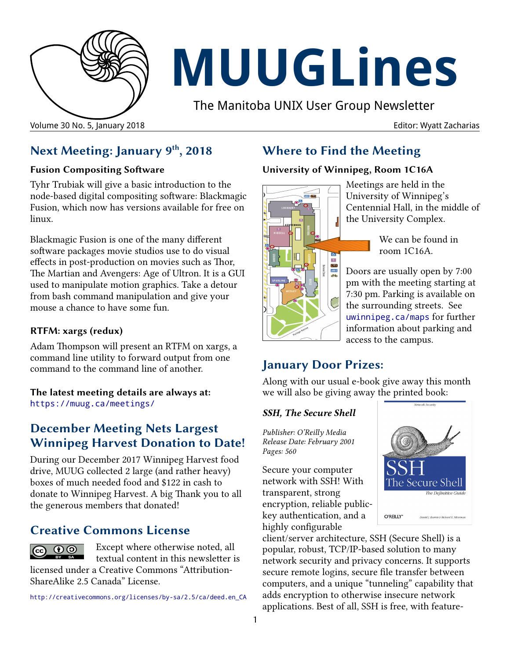

# **MUUGLines**

The Manitoba UNIX User Group Newsletter

## **Next Meeting: January 9th, 2018**

#### **Fusion Compositing Software**

Tyhr Trubiak will give a basic introduction to the node-based digital compositing software: Blackmagic Fusion, which now has versions available for free on linux.

Blackmagic Fusion is one of the many different software packages movie studios use to do visual effects in post-production on movies such as Thor, The Martian and Avengers: Age of Ultron. It is a GUI used to manipulate motion graphics. Take a detour from bash command manipulation and give your mouse a chance to have some fun.

#### **RTFM: xargs (redux)**

Adam Thompson will present an RTFM on xargs, a command line utility to forward output from one command to the command line of another.

**The latest meeting details are always at:** [https://muug.ca/meetings/](https://www.muug.mb.ca/meetings/)

#### **December Meeting Nets Largest Winnipeg Harvest Donation to Date!**

During our December 2017 Winnipeg Harvest food drive, MUUG collected 2 large (and rather heavy) boxes of much needed food and \$122 in cash to donate to Winnipeg Harvest. A big Thank you to all the generous members that donated!

#### **Creative Commons License**



Except where otherwise noted, all textual content in this newsletter is licensed under a Creative Commons "Attribution-

ShareAlike 2.5 Canada" License.

http:/[/creativecommons.org/licenses/by-sa/2.5/ca/deed.en\\_CA](http://creativecommons.org/licenses/by-sa/2.5/ca/deed.en_CA)

## **Where to Find the Meeting**

#### **University of Winnipeg, Room 1C16A**



Meetings are held in the University of Winnipeg's Centennial Hall, in the middle of the University Complex.

> We can be found in room 1C16A.

Doors are usually open by 7:00 pm with the meeting starting at 7:30 pm. Parking is available on the surrounding streets. See [uwinnipeg.ca/maps](http://www.uwinnipeg.ca/maps) for further information about parking and access to the campus.

#### **January Door Prizes:**

Along with our usual e-book give away this month we will also be giving away the printed book:

#### *SSH, The Secure Shell*

*Publisher: O'Reilly Media Release Date: February 2001 Pages: 560*

Secure your computer network with SSH! With transparent, strong encryption, reliable publickey authentication, and a highly configurable



client/server architecture, SSH (Secure Shell) is a popular, robust, TCP/IP-based solution to many network security and privacy concerns. It supports secure remote logins, secure file transfer between computers, and a unique "tunneling" capability that adds encryption to otherwise insecure network applications. Best of all, SSH is free, with feature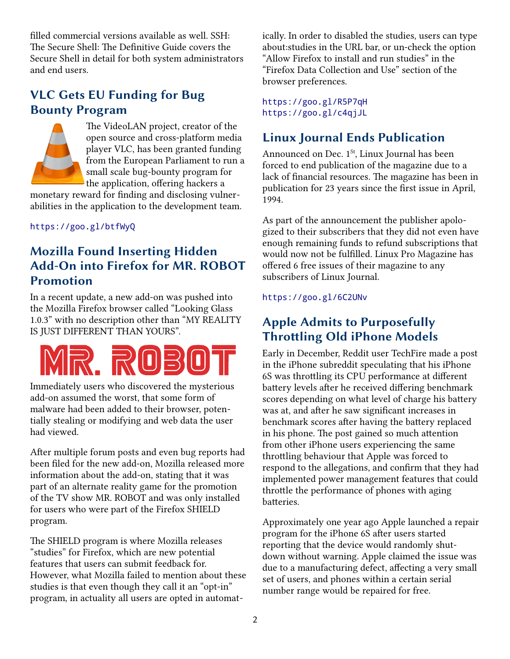filled commercial versions available as well. SSH: The Secure Shell: The Definitive Guide covers the Secure Shell in detail for both system administrators and end users.

## **VLC Gets EU Funding for Bug Bounty Program**



The VideoLAN project, creator of the open source and cross-platform media player VLC, has been granted funding from the European Parliament to run a small scale bug-bounty program for the application, offering hackers a

monetary reward for finding and disclosing vulnerabilities in the application to the development team.

<https://goo.gl/btfWyQ>

## **Mozilla Found Inserting Hidden Add-On into Firefox for MR. ROBOT Promotion**

In a recent update, a new add-on was pushed into the Mozilla Firefox browser called "Looking Glass 1.0.3" with no description other than "MY REALITY IS JUST DIFFERENT THAN YOURS".



Immediately users who discovered the mysterious add-on assumed the worst, that some form of malware had been added to their browser, potentially stealing or modifying and web data the user had viewed.

After multiple forum posts and even bug reports had been filed for the new add-on, Mozilla released more information about the add-on, stating that it was part of an alternate reality game for the promotion of the TV show MR. ROBOT and was only installed for users who were part of the Firefox SHIELD program.

The SHIELD program is where Mozilla releases "studies" for Firefox, which are new potential features that users can submit feedback for. However, what Mozilla failed to mention about these studies is that even though they call it an "opt-in" program, in actuality all users are opted in automatically. In order to disabled the studies, users can type about:studies in the URL bar, or un-check the option "Allow Firefox to install and run studies" in the "Firefox Data Collection and Use" section of the browser preferences.

<https://goo.gl/R5P7qH> <https://goo.gl/c4qjJL>

## **Linux Journal Ends Publication**

Announced on Dec.  $1<sup>St</sup>$ , Linux Journal has been forced to end publication of the magazine due to a lack of financial resources. The magazine has been in publication for 23 years since the first issue in April, 1994.

As part of the announcement the publisher apologized to their subscribers that they did not even have enough remaining funds to refund subscriptions that would now not be fulfilled. Linux Pro Magazine has offered 6 free issues of their magazine to any subscribers of Linux Journal.

<https://goo.gl/6C2UNv>

#### **Apple Admits to Purposefully Throttling Old iPhone Models**

Early in December, Reddit user TechFire made a post in the iPhone subreddit speculating that his iPhone 6S was throttling its CPU performance at different battery levels after he received differing benchmark scores depending on what level of charge his battery was at, and after he saw significant increases in benchmark scores after having the battery replaced in his phone. The post gained so much attention from other iPhone users experiencing the same throttling behaviour that Apple was forced to respond to the allegations, and confirm that they had implemented power management features that could throttle the performance of phones with aging batteries.

Approximately one year ago Apple launched a repair program for the iPhone 6S after users started reporting that the device would randomly shutdown without warning. Apple claimed the issue was due to a manufacturing defect, affecting a very small set of users, and phones within a certain serial number range would be repaired for free.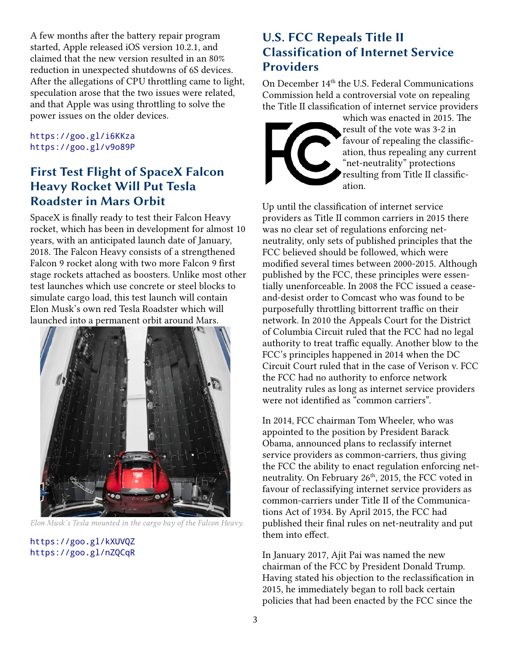A few months after the battery repair program started, Apple released iOS version 10.2.1, and claimed that the new version resulted in an 80% reduction in unexpected shutdowns of 6S devices. After the allegations of CPU throttling came to light, speculation arose that the two issues were related, and that Apple was using throttling to solve the power issues on the older devices.

<https://goo.gl/i6KKza> <https://goo.gl/v9o89P>

#### **First Test Flight of SpaceX Falcon Heavy Rocket Will Put Tesla Roadster in Mars Orbit**

SpaceX is finally ready to test their Falcon Heavy rocket, which has been in development for almost 10 years, with an anticipated launch date of January, 2018. The Falcon Heavy consists of a strengthened Falcon 9 rocket along with two more Falcon 9 first stage rockets attached as boosters. Unlike most other test launches which use concrete or steel blocks to simulate cargo load, this test launch will contain Elon Musk's own red Tesla Roadster which will launched into a permanent orbit around Mars.



*Elon Musk's Tesla mounted in the cargo bay of the Falcon Heavy.*

<https://goo.gl/kXUVQZ> <https://goo.gl/nZQCqR>

#### **U.S. FCC Repeals Title II Classification of Internet Service Providers**

On December 14<sup>th</sup> the U.S. Federal Communications Commission held a controversial vote on repealing the Title II classification of internet service providers



which was enacted in 2015. The result of the vote was 3-2 in favour of repealing the classification, thus repealing any current "net-neutrality" protections resulting from Title II classification.

Up until the classification of internet service providers as Title II common carriers in 2015 there was no clear set of regulations enforcing netneutrality, only sets of published principles that the FCC believed should be followed, which were modified several times between 2000-2015. Although published by the FCC, these principles were essentially unenforceable. In 2008 the FCC issued a ceaseand-desist order to Comcast who was found to be purposefully throttling bittorrent traffic on their network. In 2010 the Appeals Court for the District of Columbia Circuit ruled that the FCC had no legal authority to treat traffic equally. Another blow to the FCC's principles happened in 2014 when the DC Circuit Court ruled that in the case of Verison v. FCC the FCC had no authority to enforce network neutrality rules as long as internet service providers were not identified as "common carriers".

In 2014, FCC chairman Tom Wheeler, who was appointed to the position by President Barack Obama, announced plans to reclassify internet service providers as common-carriers, thus giving the FCC the ability to enact regulation enforcing netneutrality. On February 26<sup>th</sup>, 2015, the FCC voted in favour of reclassifying internet service providers as common-carriers under Title II of the Communications Act of 1934. By April 2015, the FCC had published their final rules on net-neutrality and put them into effect.

In January 2017, Ajit Pai was named the new chairman of the FCC by President Donald Trump. Having stated his objection to the reclassification in 2015, he immediately began to roll back certain policies that had been enacted by the FCC since the